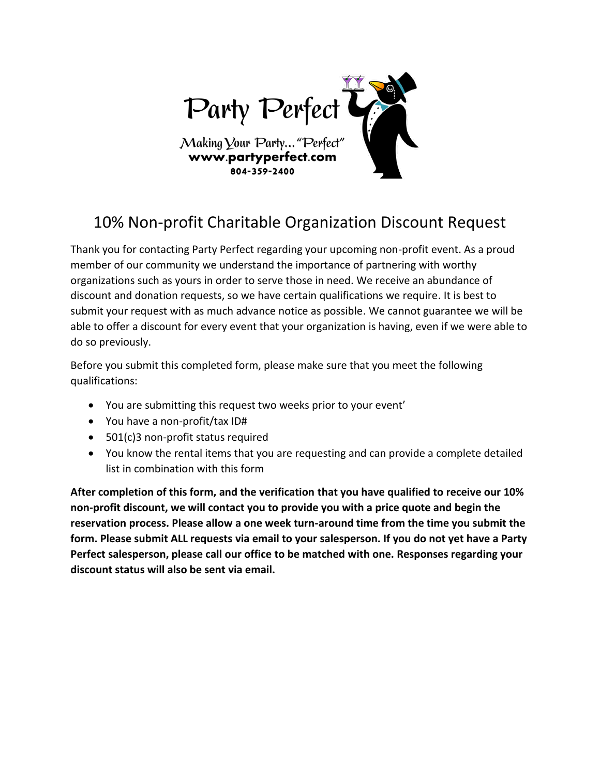

## 10% Non-profit Charitable Organization Discount Request

Thank you for contacting Party Perfect regarding your upcoming non-profit event. As a proud member of our community we understand the importance of partnering with worthy organizations such as yours in order to serve those in need. We receive an abundance of discount and donation requests, so we have certain qualifications we require. It is best to submit your request with as much advance notice as possible. We cannot guarantee we will be able to offer a discount for every event that your organization is having, even if we were able to do so previously.

Before you submit this completed form, please make sure that you meet the following qualifications:

- You are submitting this request two weeks prior to your event'
- You have a non-profit/tax ID#
- 501(c)3 non-profit status required
- You know the rental items that you are requesting and can provide a complete detailed list in combination with this form

**After completion of this form, and the verification that you have qualified to receive our 10% non-profit discount, we will contact you to provide you with a price quote and begin the reservation process. Please allow a one week turn-around time from the time you submit the form. Please submit ALL requests via email to your salesperson. If you do not yet have a Party Perfect salesperson, please call our office to be matched with one. Responses regarding your discount status will also be sent via email.**